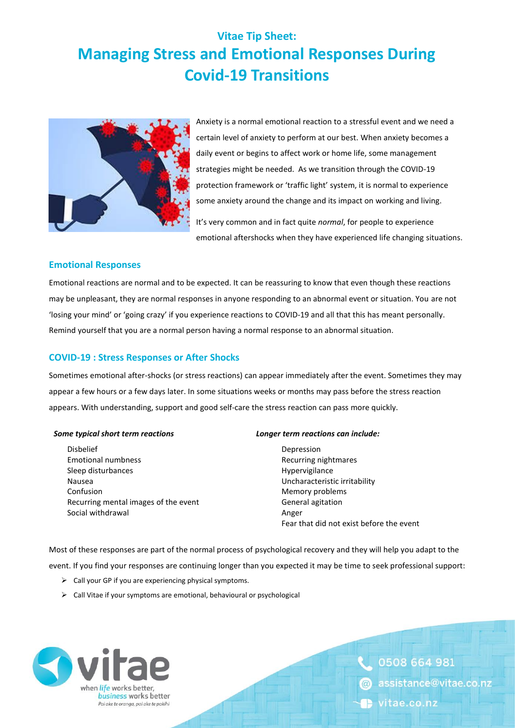# **Vitae Tip Sheet: Managing Stress and Emotional Responses During Covid-19 Transitions**



Anxiety is a normal emotional reaction to a stressful event and we need a certain level of anxiety to perform at our best. When anxiety becomes a daily event or begins to affect work or home life, some management strategies might be needed. As we transition through the COVID-19 protection framework or 'traffic light' system, it is normal to experience some anxiety around the change and its impact on working and living. It's very common and in fact quite *normal*, for people to experience

emotional aftershocks when they have experienced life changing situations.

# **Emotional Responses**

Emotional reactions are normal and to be expected. It can be reassuring to know that even though these reactions may be unpleasant, they are normal responses in anyone responding to an abnormal event or situation. You are not 'losing your mind' or 'going crazy' if you experience reactions to COVID-19 and all that this has meant personally. Remind yourself that you are a normal person having a normal response to an abnormal situation.

# **COVID-19 : Stress Responses or After Shocks**

Sometimes emotional after-shocks (or stress reactions) can appear immediately after the event. Sometimes they may appear a few hours or a few days later. In some situations weeks or months may pass before the stress reaction appears. With understanding, support and good self-care the stress reaction can pass more quickly.

Disbelief Depression Emotional numbness Recurring nightmares Sleep disturbances and the state of the Hypervigilance Hypervigilance Nausea Uncharacteristic irritability Confusion **Memory problems Confusion Memory problems** Recurring mental images of the event General agitation Social withdrawal Angeles and Angeles Angeles Angeles Angeles Angeles Angeles Angeles Angeles Angeles Angeles

#### *Some typical short term reactions Longer term reactions can include:*

Fear that did not exist before the event

Most of these responses are part of the normal process of psychological recovery and they will help you adapt to the event. If you find your responses are continuing longer than you expected it may be time to seek professional support:

- ➢ Call your GP if you are experiencing physical symptoms.
- ➢ Call Vitae if your symptoms are emotional, behavioural or psychological



0508 664 981 assistance@vitae.co.nz vitae.co.nz